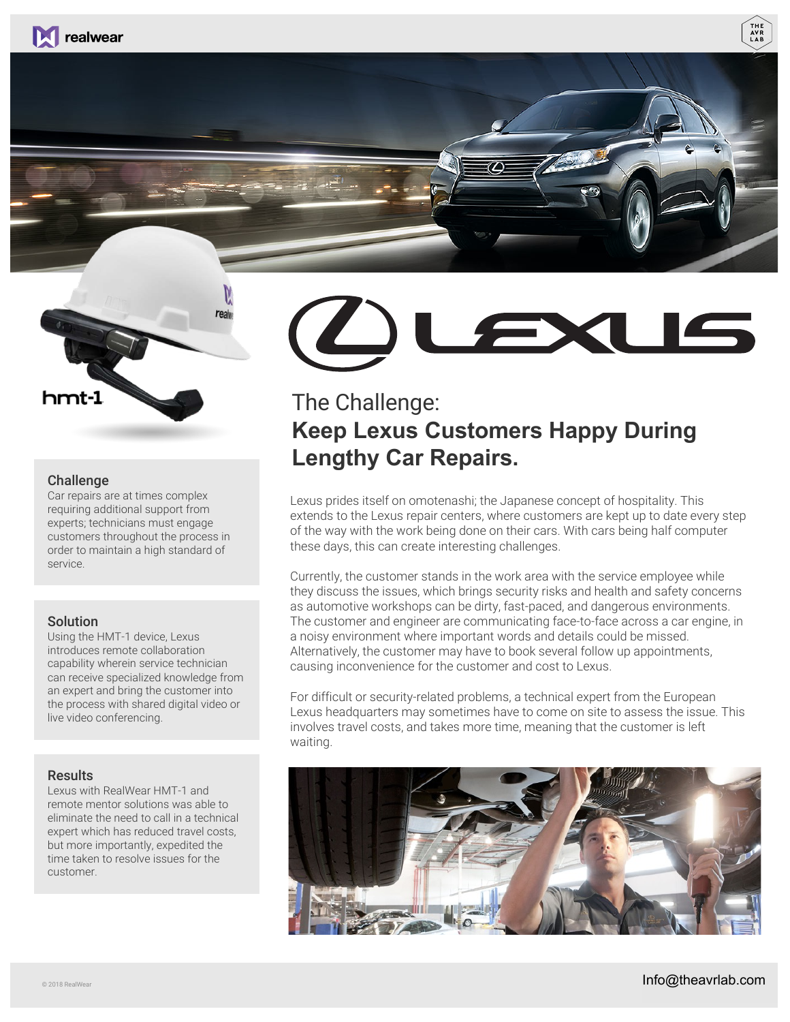



### Challenge

Car repairs are at times complex requiring additional support from experts; technicians must engage customers throughout the process in order to maintain a high standard of service.

### Solution

Using the HMT-1 device, Lexus introduces remote collaboration capability wherein service technician can receive specialized knowledge from an expert and bring the customer into the process with shared digital video or live video conferencing.

### Results

Lexus with RealWear HMT-1 and remote mentor solutions was able to eliminate the need to call in a technical expert which has reduced travel costs, but more importantly, expedited the time taken to resolve issues for the customer.



# The Challenge: **Keep Lexus Customers Happy During Lengthy Car Repairs.**

Lexus prides itself on omotenashi; the Japanese concept of hospitality. This extends to the Lexus repair centers, where customers are kept up to date every step of the way with the work being done on their cars. With cars being half computer these days, this can create interesting challenges.

Currently, the customer stands in the work area with the service employee while they discuss the issues, which brings security risks and health and safety concerns as automotive workshops can be dirty, fast-paced, and dangerous environments. The customer and engineer are communicating face-to-face across a car engine, in a noisy environment where important words and details could be missed. Alternatively, the customer may have to book several follow up appointments, causing inconvenience for the customer and cost to Lexus.

For difficult or security-related problems, a technical expert from the European Lexus headquarters may sometimes have to come on site to assess the issue. This involves travel costs, and takes more time, meaning that the customer is left waiting.